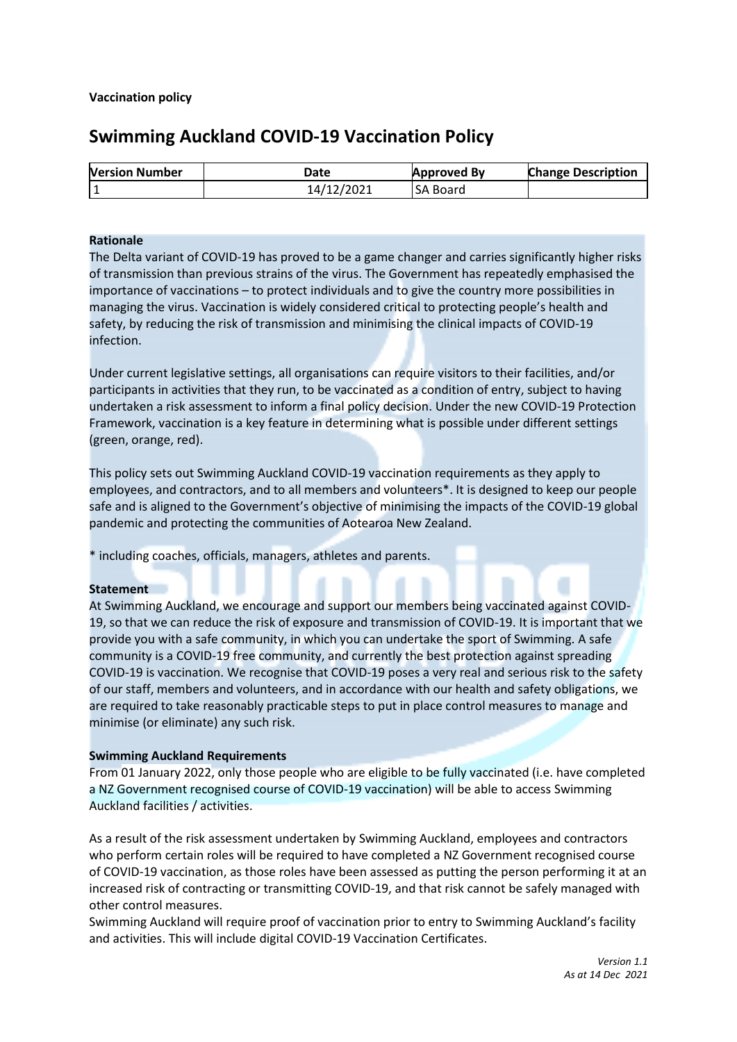# **Swimming Auckland COVID-19 Vaccination Policy**

| <b>Version Number</b> | Date       | <b>Approved By</b> | <b>Change Description</b> |
|-----------------------|------------|--------------------|---------------------------|
|                       | 14/12/2021 | <b>SA Board</b>    |                           |

#### **Rationale**

The Delta variant of COVID-19 has proved to be a game changer and carries significantly higher risks of transmission than previous strains of the virus. The Government has repeatedly emphasised the importance of vaccinations – to protect individuals and to give the country more possibilities in managing the virus. Vaccination is widely considered critical to protecting people's health and safety, by reducing the risk of transmission and minimising the clinical impacts of COVID-19 infection.

Under current legislative settings, all organisations can require visitors to their facilities, and/or participants in activities that they run, to be vaccinated as a condition of entry, subject to having undertaken a risk assessment to inform a final policy decision. Under the new COVID-19 Protection Framework, vaccination is a key feature in determining what is possible under different settings (green, orange, red).

This policy sets out Swimming Auckland COVID-19 vaccination requirements as they apply to employees, and contractors, and to all members and volunteers\*. It is designed to keep our people safe and is aligned to the Government's objective of minimising the impacts of the COVID-19 global pandemic and protecting the communities of Aotearoa New Zealand.

\* including coaches, officials, managers, athletes and parents.

#### **Statement**

At Swimming Auckland, we encourage and support our members being vaccinated against COVID-19, so that we can reduce the risk of exposure and transmission of COVID-19. It is important that we provide you with a safe community, in which you can undertake the sport of Swimming. A safe community is a COVID-19 free community, and currently the best protection against spreading COVID-19 is vaccination. We recognise that COVID-19 poses a very real and serious risk to the safety of our staff, members and volunteers, and in accordance with our health and safety obligations, we are required to take reasonably practicable steps to put in place control measures to manage and minimise (or eliminate) any such risk.

### **Swimming Auckland Requirements**

From 01 January 2022, only those people who are eligible to be fully vaccinated (i.e. have completed a NZ Government recognised course of COVID-19 vaccination) will be able to access Swimming Auckland facilities / activities.

As a result of the risk assessment undertaken by Swimming Auckland, employees and contractors who perform certain roles will be required to have completed a NZ Government recognised course of COVID-19 vaccination, as those roles have been assessed as putting the person performing it at an increased risk of contracting or transmitting COVID-19, and that risk cannot be safely managed with other control measures.

Swimming Auckland will require proof of vaccination prior to entry to Swimming Auckland's facility and activities. This will include digital COVID-19 Vaccination Certificates.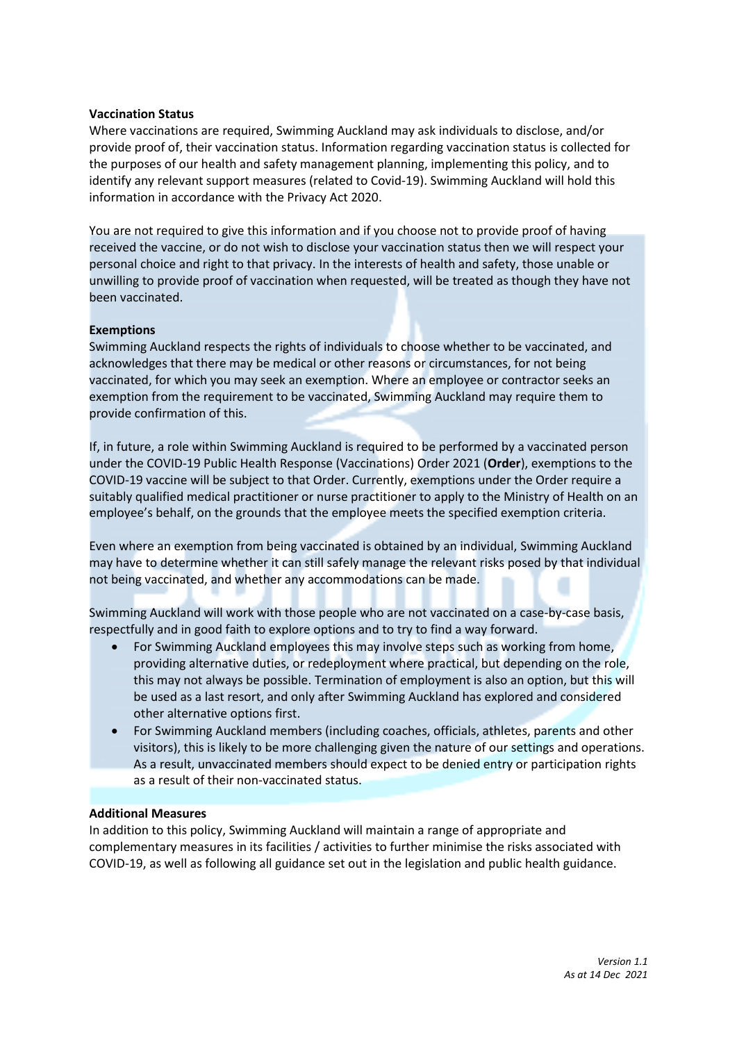### **Vaccination Status**

Where vaccinations are required, Swimming Auckland may ask individuals to disclose, and/or provide proof of, their vaccination status. Information regarding vaccination status is collected for the purposes of our health and safety management planning, implementing this policy, and to identify any relevant support measures (related to Covid-19). Swimming Auckland will hold this information in accordance with the Privacy Act 2020.

You are not required to give this information and if you choose not to provide proof of having received the vaccine, or do not wish to disclose your vaccination status then we will respect your personal choice and right to that privacy. In the interests of health and safety, those unable or unwilling to provide proof of vaccination when requested, will be treated as though they have not been vaccinated.

### **Exemptions**

Swimming Auckland respects the rights of individuals to choose whether to be vaccinated, and acknowledges that there may be medical or other reasons or circumstances, for not being vaccinated, for which you may seek an exemption. Where an employee or contractor seeks an exemption from the requirement to be vaccinated, Swimming Auckland may require them to provide confirmation of this.

If, in future, a role within Swimming Auckland is required to be performed by a vaccinated person under the COVID-19 Public Health Response (Vaccinations) Order 2021 (**Order**), exemptions to the COVID-19 vaccine will be subject to that Order. Currently, exemptions under the Order require a suitably qualified medical practitioner or nurse practitioner to apply to the Ministry of Health on an employee's behalf, on the grounds that the employee meets the specified exemption criteria.

Even where an exemption from being vaccinated is obtained by an individual, Swimming Auckland may have to determine whether it can still safely manage the relevant risks posed by that individual not being vaccinated, and whether any accommodations can be made.

Swimming Auckland will work with those people who are not vaccinated on a case-by-case basis, respectfully and in good faith to explore options and to try to find a way forward.

- For Swimming Auckland employees this may involve steps such as working from home, providing alternative duties, or redeployment where practical, but depending on the role, this may not always be possible. Termination of employment is also an option, but this will be used as a last resort, and only after Swimming Auckland has explored and considered other alternative options first.
- For Swimming Auckland members (including coaches, officials, athletes, parents and other visitors), this is likely to be more challenging given the nature of our settings and operations. As a result, unvaccinated members should expect to be denied entry or participation rights as a result of their non-vaccinated status.

### **Additional Measures**

In addition to this policy, Swimming Auckland will maintain a range of appropriate and complementary measures in its facilities / activities to further minimise the risks associated with COVID-19, as well as following all guidance set out in the legislation and public health guidance.